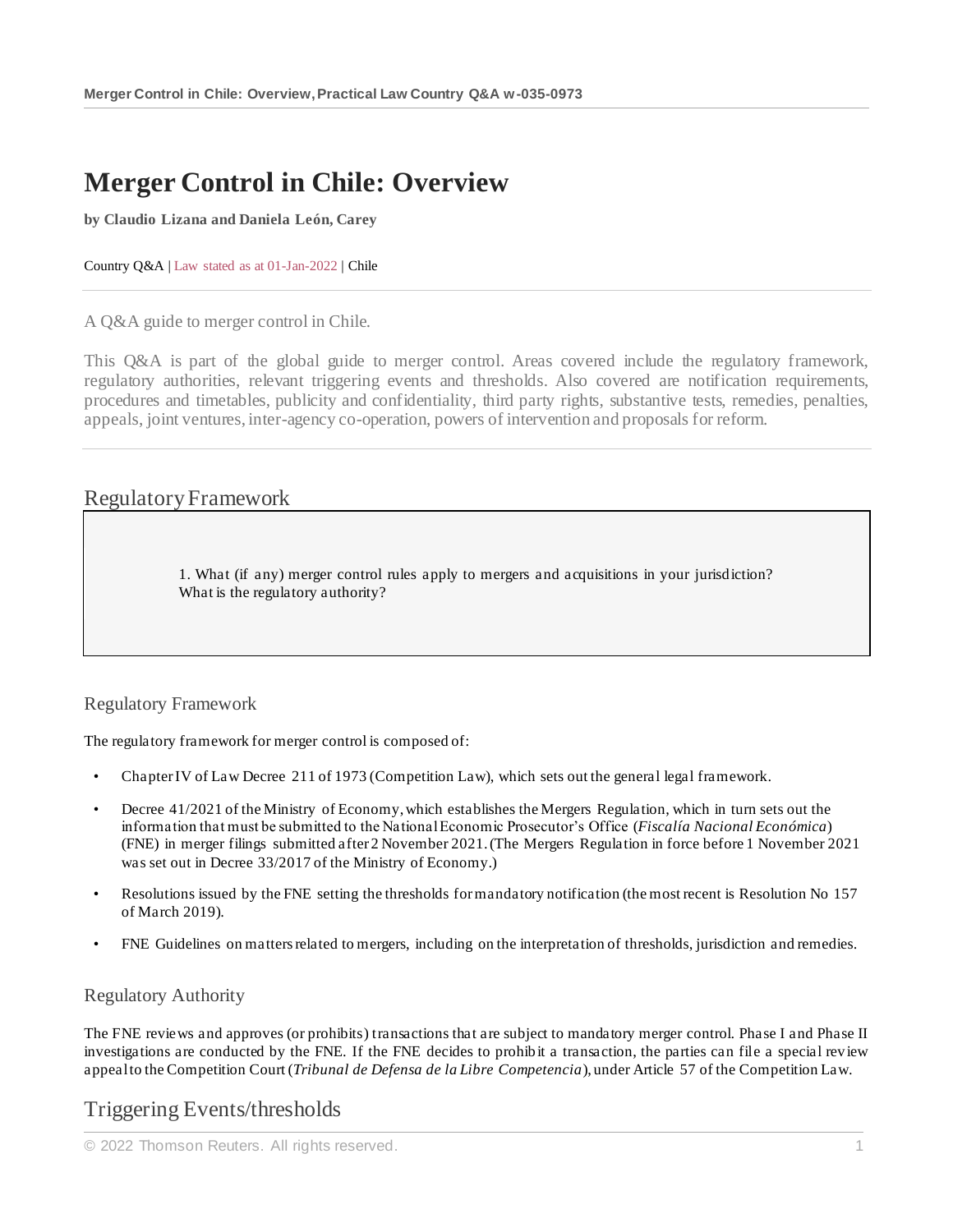# **Merger Control in Chile: Overview**

**by Claudio Lizana and Daniela León, Carey**

Country Q&A | Law stated as at 01-Jan-2022 | Chile

A Q&A guide to merger control in Chile.

This Q&A is part of the global guide to merger control. Areas covered include the regulatory framework, regulatory authorities, relevant triggering events and thresholds. Also covered are notification requirements, procedures and timetables, publicity and confidentiality, third party rights, substantive tests, remedies, penalties, appeals, joint ventures, inter-agency co-operation, powers of intervention and proposals for reform.

### Regulatory Framework

1. What (if any) merger control rules apply to mergers and acquisitions in your jurisdiction? What is the regulatory authority?

Regulatory Framework

The regulatory framework for merger control is composed of:

- Chapter IV of Law Decree 211 of 1973 (Competition Law), which sets out the general legal framework.
- Decree 41/2021 of the Ministry of Economy, which establishes the Mergers Regulation, which in turn sets out the information that must be submitted to the National Economic Prosecutor's Office (*Fiscalía Nacional Económica*) (FNE) in merger filings submitted after 2 November 2021. (The Mergers Regulation in force before 1 November 2021 was set out in Decree 33/2017 of the Ministry of Economy.)
- Resolutions issued by the FNE setting the thresholds for mandatory notification (the most recent is Resolution No 157 of March 2019).
- FNE Guidelines on matters related to mergers, including on the interpretation of thresholds, jurisdiction and remedies.

#### Regulatory Authority

The FNE reviews and approves (or prohibits) transactions that are subject to mandatory merger control. Phase I and Phase II investigations are conducted by the FNE. If the FNE decides to prohibit a transaction, the parties can file a special review appeal to the Competition Court (*Tribunal de Defensa de la Libre Competencia*), under Article 57 of the Competition Law.

# Triggering Events/thresholds

© 2022 Thomson Reuters. All rights reserved. 1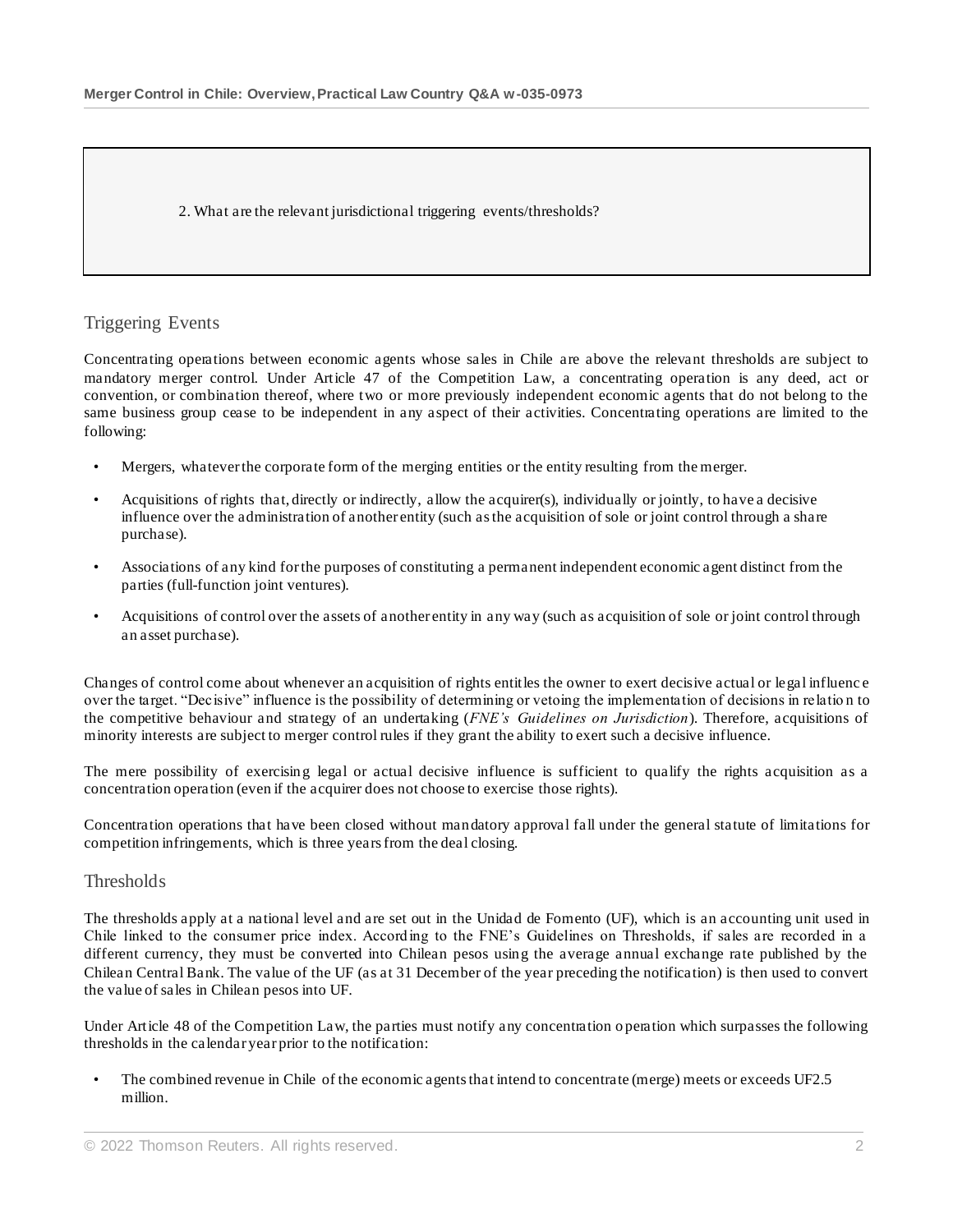2. What are the relevant jurisdictional triggering events/thresholds?

### Triggering Events

Concentrating operations between economic agents whose sales in Chile are above the relevant thresholds are subject to mandatory merger control. Under Article 47 of the Competition Law, a concentrating operation is any deed, act or convention, or combination thereof, where two or more previously independent economic agents that do not belong to the same business group cease to be independent in any aspect of their activities. Concentrating operations are limited to the following:

- Mergers, whatever the corporate form of the merging entities or the entity resulting from the merger.
- Acquisitions of rights that, directly or indirectly, allow the acquirer(s), individually or jointly, to have a decisive influence over the administration of another entity (such as the acquisition of sole or joint control through a share purchase).
- Associations of any kind for the purposes of constituting a permanent independent economic agent distinct from the parties (full-function joint ventures).
- Acquisitions of control over the assets of another entity in any way (such as acquisition of sole or joint control through an asset purchase).

Changes of control come about whenever an acquisition of rights entitles the owner to exert decisive actual or legal influenc e over the target. "Decisive" influence is the possibility of determining or vetoing the implementation of decisions in relatio n to the competitive behaviour and strategy of an undertaking (*FNE's Guidelines on Jurisdiction*). Therefore, acquisitions of minority interests are subject to merger control rules if they grant the ability to exert such a decisive influence.

The mere possibility of exercising legal or actual decisive influence is sufficient to qualify the rights acquisition as a concentration operation (even if the acquirer does not choose to exercise those rights).

Concentration operations that have been closed without mandatory approval fall under the general statute of limitations for competition infringements, which is three years from the deal closing.

#### **Thresholds**

The thresholds apply at a national level and are set out in the Unidad de Fomento (UF), which is an accounting unit used in Chile linked to the consumer price index. According to the FNE's Guidelines on Thresholds, if sales are recorded in a different currency, they must be converted into Chilean pesos using the average annual exchange rate published by the Chilean Central Bank. The value of the UF (as at 31 December of the year preceding the notification) is then used to convert the value of sales in Chilean pesos into UF.

Under Article 48 of the Competition Law, the parties must notify any concentration o peration which surpasses the following thresholds in the calendar year prior to the notification:

• The combined revenue in Chile of the economic agents that intend to concentrate (merge) meets or exceeds UF2.5 million.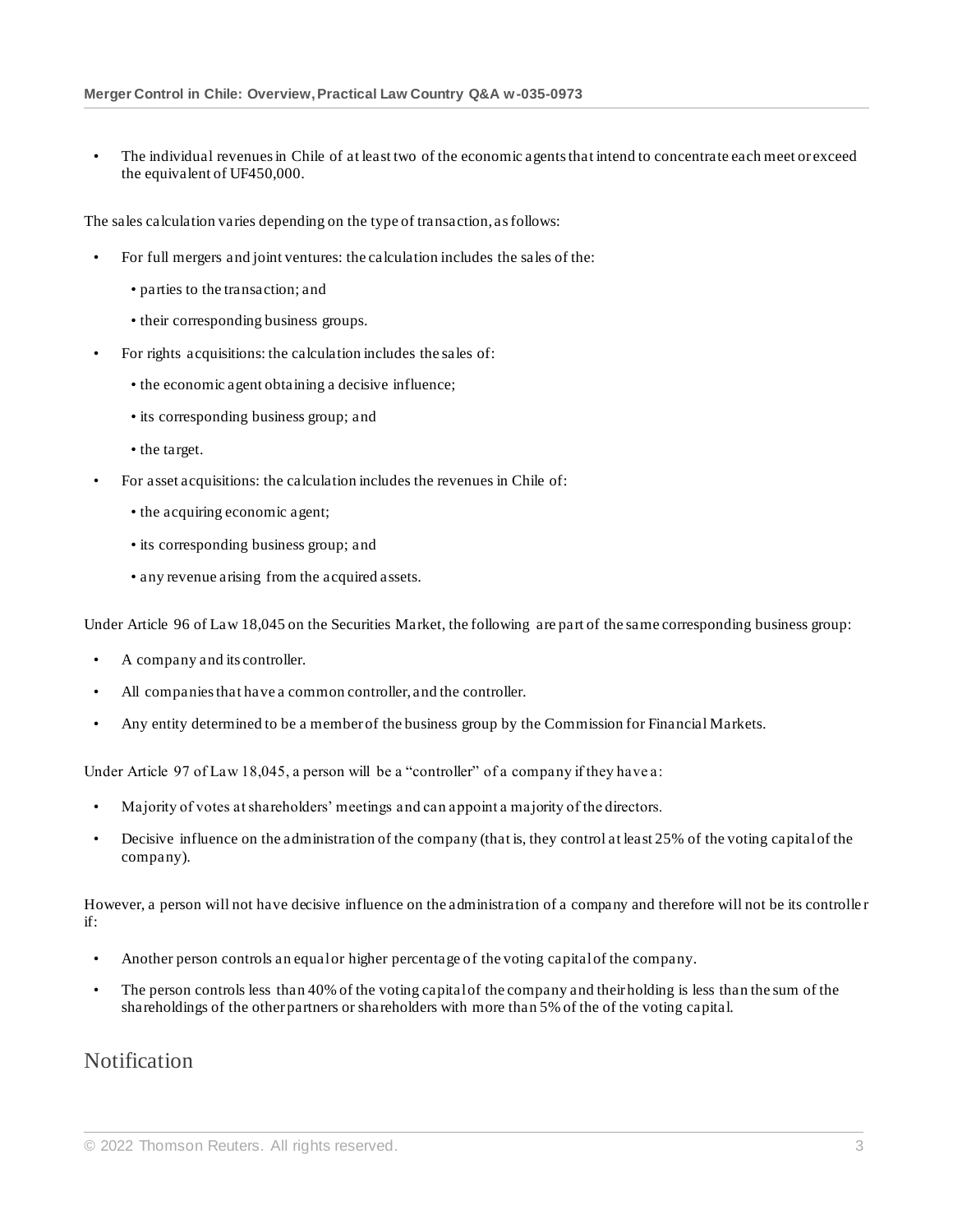• The individual revenues in Chile of at least two of the economic agents that intend to concentrate each meet or exceed the equivalent of UF450,000.

The sales calculation varies depending on the type of transaction, as follows:

- For full mergers and joint ventures: the calculation includes the sales of the:
	- parties to the transaction; and
	- their corresponding business groups.
- For rights acquisitions: the calculation includes the sales of:
	- the economic agent obtaining a decisive influence;
	- its corresponding business group; and
	- the target.
- For asset acquisitions: the calculation includes the revenues in Chile of:
	- the acquiring economic agent;
	- its corresponding business group; and
	- any revenue arising from the acquired assets.

Under Article 96 of Law 18,045 on the Securities Market, the following are part of the same corresponding business group:

- A company and its controller.
- All companies that have a common controller, and the controller.
- Any entity determined to be a member of the business group by the Commission for Financial Markets.

Under Article 97 of Law 18,045, a person will be a "controller" of a company if they have a:

- Majority of votes at shareholders' meetings and can appoint a majority of the directors.
- Decisive influence on the administration of the company (that is, they control at least 25% of the voting capital of the company).

However, a person will not have decisive influence on the administration of a company and therefore will not be its controlle r if:

- Another person controls an equal or higher percentage of the voting capital of the company.
- The person controls less than 40% of the voting capital of the company and their holding is less than the sum of the shareholdings of the other partners or shareholders with more than 5% of the of the voting capital.

# Notification

<sup>©</sup> 2022 Thomson Reuters. All rights reserved. 3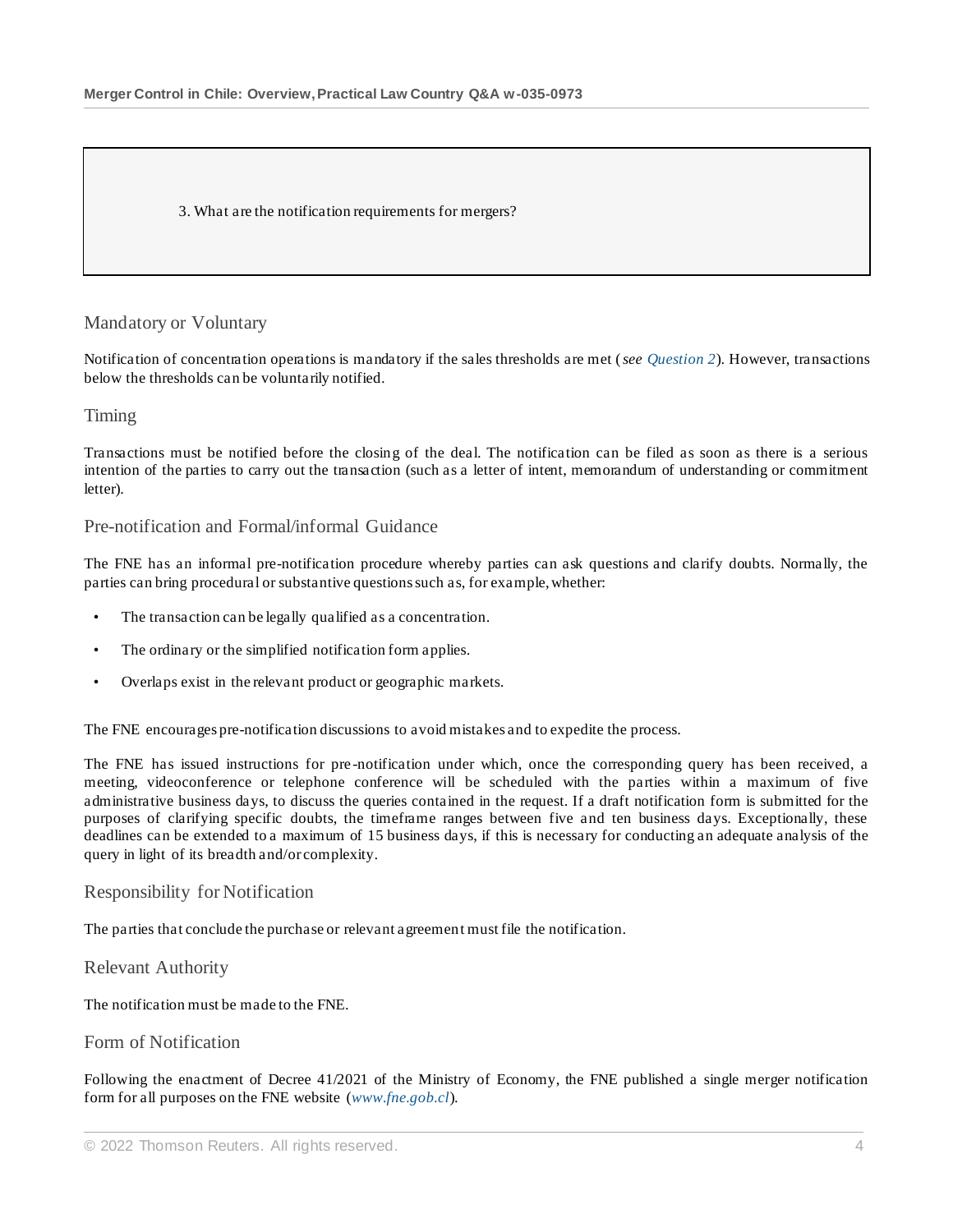3. What are the notification requirements for mergers?

#### Mandatory or Voluntary

Notification of concentration operations is mandatory if the sales thresholds are met (*see Question 2*). However, transactions below the thresholds can be voluntarily notified.

#### Timing

Transactions must be notified before the closing of the deal. The notification can be filed as soon as there is a serious intention of the parties to carry out the transaction (such as a letter of intent, memorandum of understanding or commitment letter).

#### Pre-notification and Formal/informal Guidance

The FNE has an informal pre-notification procedure whereby parties can ask questions and clarify doubts. Normally, the parties can bring procedural or substantive questions such as, for example, whether:

- The transaction can be legally qualified as a concentration.
- The ordinary or the simplified notification form applies.
- Overlaps exist in the relevant product or geographic markets.

The FNE encourages pre-notification discussions to avoid mistakes and to expedite the process.

The FNE has issued instructions for pre -notification under which, once the corresponding query has been received, a meeting, videoconference or telephone conference will be scheduled with the parties within a maximum of five administrative business days, to discuss the queries contained in the request. If a draft notification form is submitted for the purposes of clarifying specific doubts, the timeframe ranges between five and ten business days. Exceptionally, these deadlines can be extended to a maximum of 15 business days, if this is necessary for conducting an adequate analysis of the query in light of its breadth and/or complexity.

#### Responsibility for Notification

The parties that conclude the purchase or relevant agreement must file the notification.

Relevant Authority

The notification must be made to the FNE.

#### Form of Notification

Following the enactment of Decree 41/2021 of the Ministry of Economy, the FNE published a single merger notification form for all purposes on the FNE website (*[www.fne.gob.cl](http://www.fne.gob.cl/)*).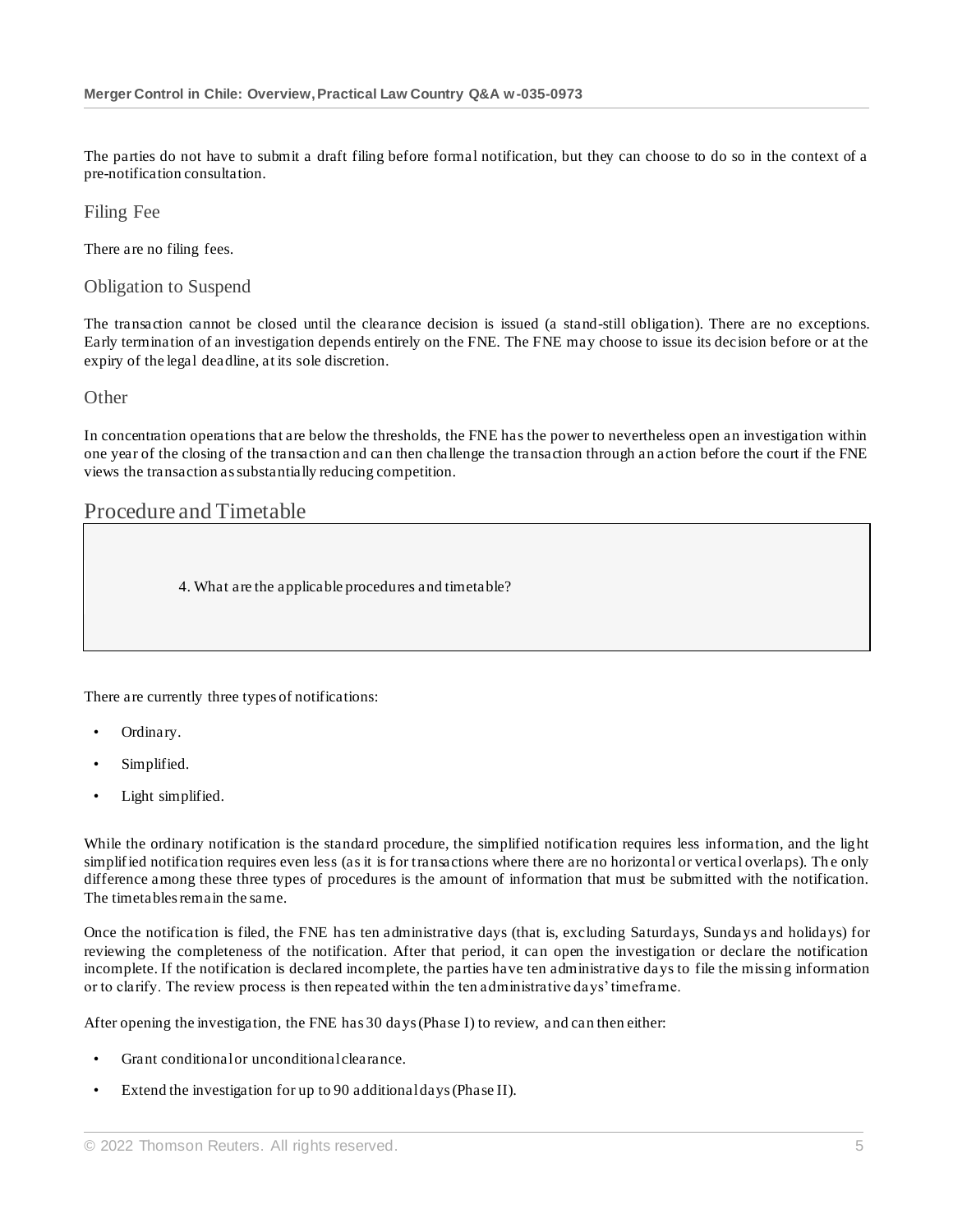The parties do not have to submit a draft filing before formal notification, but they can choose to do so in the context of a pre-notification consultation.

Filing Fee

There are no filing fees.

Obligation to Suspend

The transaction cannot be closed until the clearance decision is issued (a stand-still obligation). There are no exceptions. Early termination of an investigation depends entirely on the FNE. The FNE may choose to issue its decision before or at the expiry of the legal deadline, at its sole discretion.

#### **Other**

In concentration operations that are below the thresholds, the FNE has the power to nevertheless open an investigation within one year of the closing of the transaction and can then challenge the transaction through an action before the court if the FNE views the transaction as substantially reducing competition.

# Procedure and Timetable

4. What are the applicable procedures and timetable?

There are currently three types of notifications:

- Ordinary.
- Simplified.
- Light simplified.

While the ordinary notification is the standard procedure, the simplified notification requires less information, and the light simplif ied notification requires even less (as it is for transactions where there are no horizontal or vertical overlaps). The only difference among these three types of procedures is the amount of information that must be submitted with the notification. The timetables remain the same.

Once the notification is filed, the FNE has ten administrative days (that is, excluding Saturdays, Sundays and holidays) for reviewing the completeness of the notification. After that period, it can open the investigation or declare the notification incomplete. If the notification is declared incomplete, the parties have ten administrative days to file the missing information or to clarify. The review process is then repeated within the ten administrative days' timeframe.

After opening the investigation, the FNE has 30 days (Phase I) to review, and can then either:

- Grant conditional or unconditional clearance.
- Extend the investigation for up to 90 additional days (Phase II).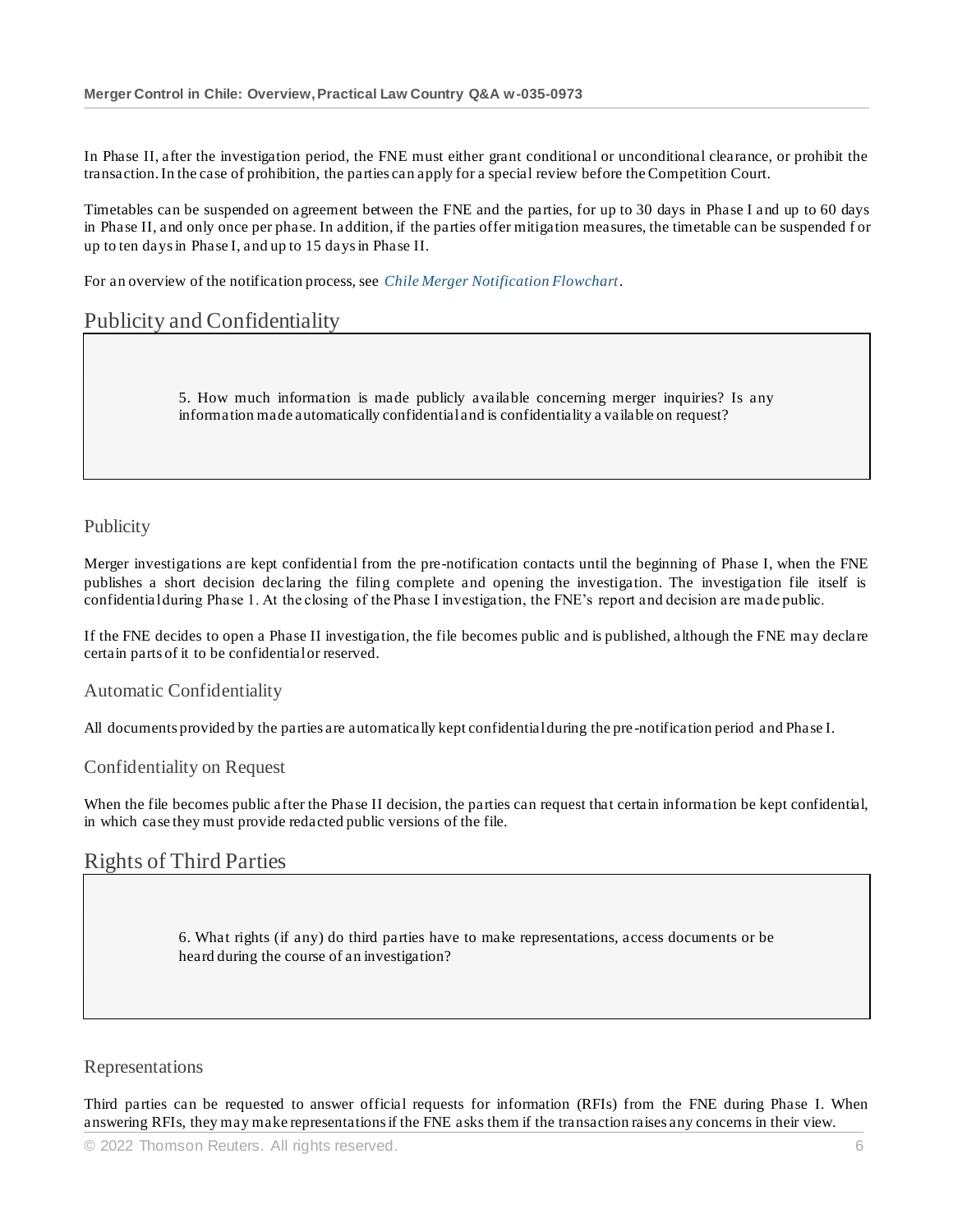In Phase II, after the investigation period, the FNE must either grant conditional or unconditional clearance, or prohibit the transaction. In the case of prohibition, the parties can apply for a special review before the Competition Court.

Timetables can be suspended on agreement between the FNE and the parties, for up to 30 days in Phase I and up to 60 days in Phase II, and only once per phase. In addition, if the parties offer mitigation measures, the timetable can be suspended f or up to ten days in Phase I, and up to 15 days in Phase II.

For an overview of the notification process, see *[Chile Merger Notification Flowchart](http://uk.practicallaw.thomsonreuters.com/w-034-9526?originationContext=document&vr=3.0&rs=PLUK1.0&transitionType=DocumentItem&contextData=(sc.Default))*.

# Publicity and Confidentiality

5. How much information is made publicly available concerning merger inquiries? Is any information made automatically confidential and is confidentiality a vailable on request?

### Publicity

Merger investigations are kept confidential from the pre-notification contacts until the beginning of Phase I, when the FNE publishes a short decision declaring the filing complete and opening the investigation. The investigation file itself is confidential during Phase 1. At the closing of the Phase I investigation, the FNE's report and decision are made public.

If the FNE decides to open a Phase II investigation, the file becomes public and is published, although the FNE may declare certain parts of it to be confidential or reserved.

#### Automatic Confidentiality

All documents provided by the parties are automatically kept confidential during the pre -notification period and Phase I.

#### Confidentiality on Request

When the file becomes public after the Phase II decision, the parties can request that certain information be kept confidential, in which case they must provide redacted public versions of the file.

# Rights of Third Parties

6. What rights (if any) do third parties have to make representations, access documents or be heard during the course of an investigation?

#### Representations

Third parties can be requested to answer official requests for information (RFIs) from the FNE during Phase I. When answering RFIs, they may make representations if the FNE asks them if the transaction raises any concerns in their view.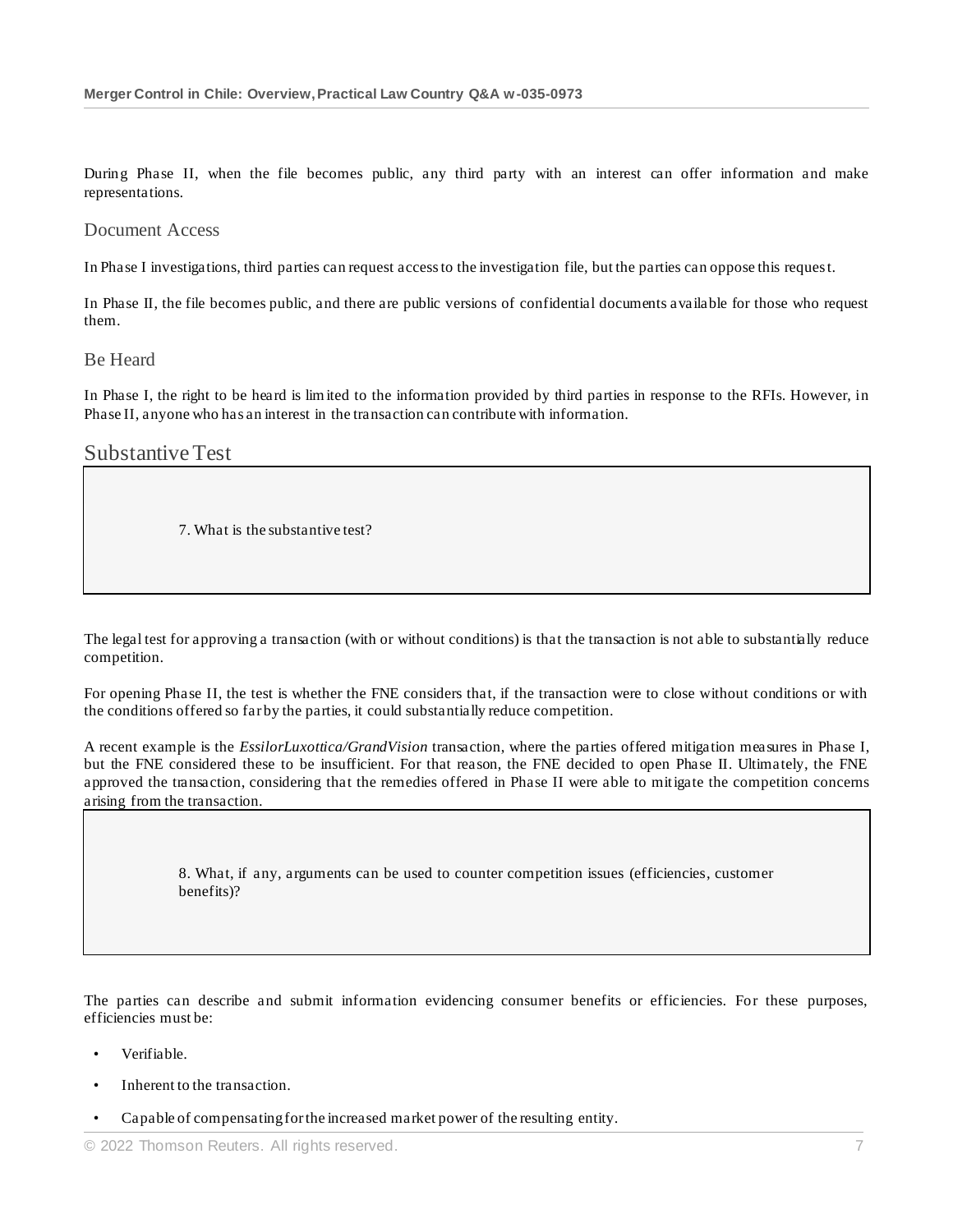During Phase II, when the file becomes public, any third party with an interest can offer information and make representations.

#### Document Access

In Phase I investigations, third parties can request access to the investigation file, but the parties can oppose this request.

In Phase II, the file becomes public, and there are public versions of confidential documents available for those who request them.

#### Be Heard

In Phase I, the right to be heard is lim ited to the information provided by third parties in response to the RFIs. However, in Phase II, anyone who has an interest in the transaction can contribute with information.

#### Substantive Test

7. What is the substantive test?

The legal test for approving a transaction (with or without conditions) is that the transaction is not able to substantially reduce competition.

For opening Phase II, the test is whether the FNE considers that, if the transaction were to close without conditions or with the conditions offered so far by the parties, it could substantially reduce competition.

A recent example is the *EssilorLuxottica/GrandVision* transaction, where the parties offered mitigation measures in Phase I, but the FNE considered these to be insufficient. For that reason, the FNE decided to open Phase II. Ultimately, the FNE approved the transaction, considering that the remedies offered in Phase II were able to mitigate the competition concerns arising from the transaction.

> 8. What, if any, arguments can be used to counter competition issues (efficiencies, customer benefits)?

The parties can describe and submit information evidencing consumer benefits or efficiencies. For these purposes, efficiencies must be:

- Verifiable.
- Inherent to the transaction.
- Capable of compensating for the increased market power of the resulting entity.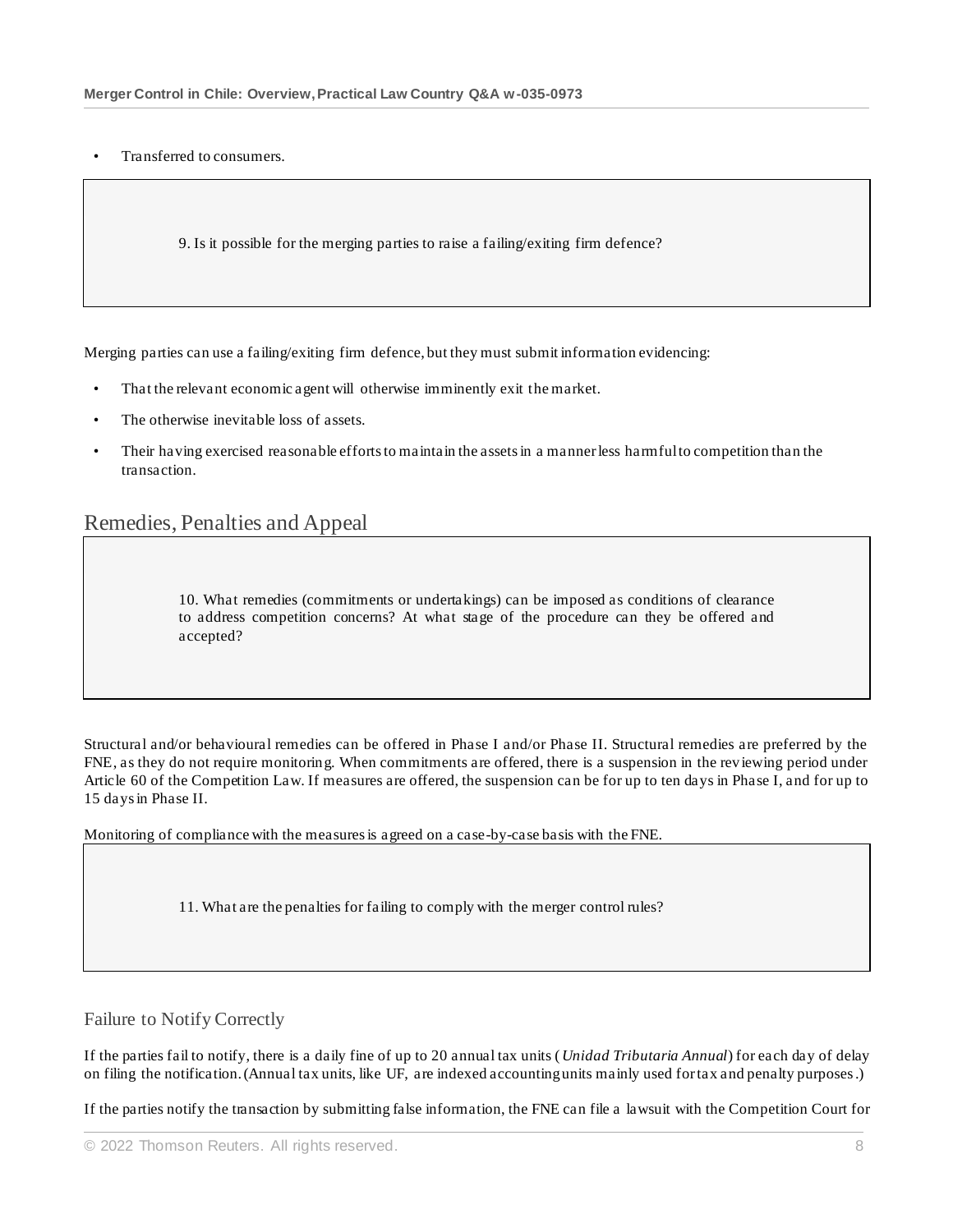• Transferred to consumers.

9. Is it possible for the merging parties to raise a failing/exiting firm defence?

Merging parties can use a failing/exiting firm defence, but they must submit information evidencing:

- That the relevant economic agent will otherwise imminently exit the market.
- The otherwise inevitable loss of assets.
- Their having exercised reasonable efforts to maintain the assets in a manner less harmful to competition than the transaction.

# Remedies, Penalties and Appeal

10. What remedies (commitments or undertakings) can be imposed as conditions of clearance to address competition concerns? At what stage of the procedure can they be offered and accepted?

Structural and/or behavioural remedies can be offered in Phase I and/or Phase II. Structural remedies are preferred by the FNE, as they do not require monitoring. When commitments are offered, there is a suspension in the reviewing period under Article 60 of the Competition Law. If measures are offered, the suspension can be for up to ten days in Phase I, and for up to 15 days in Phase II.

Monitoring of compliance with the measures is agreed on a case-by-case basis with the FNE.

11. What are the penalties for failing to comply with the merger control rules?

#### Failure to Notify Correctly

If the parties fail to notify, there is a daily fine of up to 20 annual tax units (*Unidad Tributaria Annual*) for each day of delay on filing the notification. (Annual tax units, like UF, are indexed accounting units mainly used for tax and penalty purposes.)

If the parties notify the transaction by submitting false information, the FNE can file a lawsuit with the Competition Court for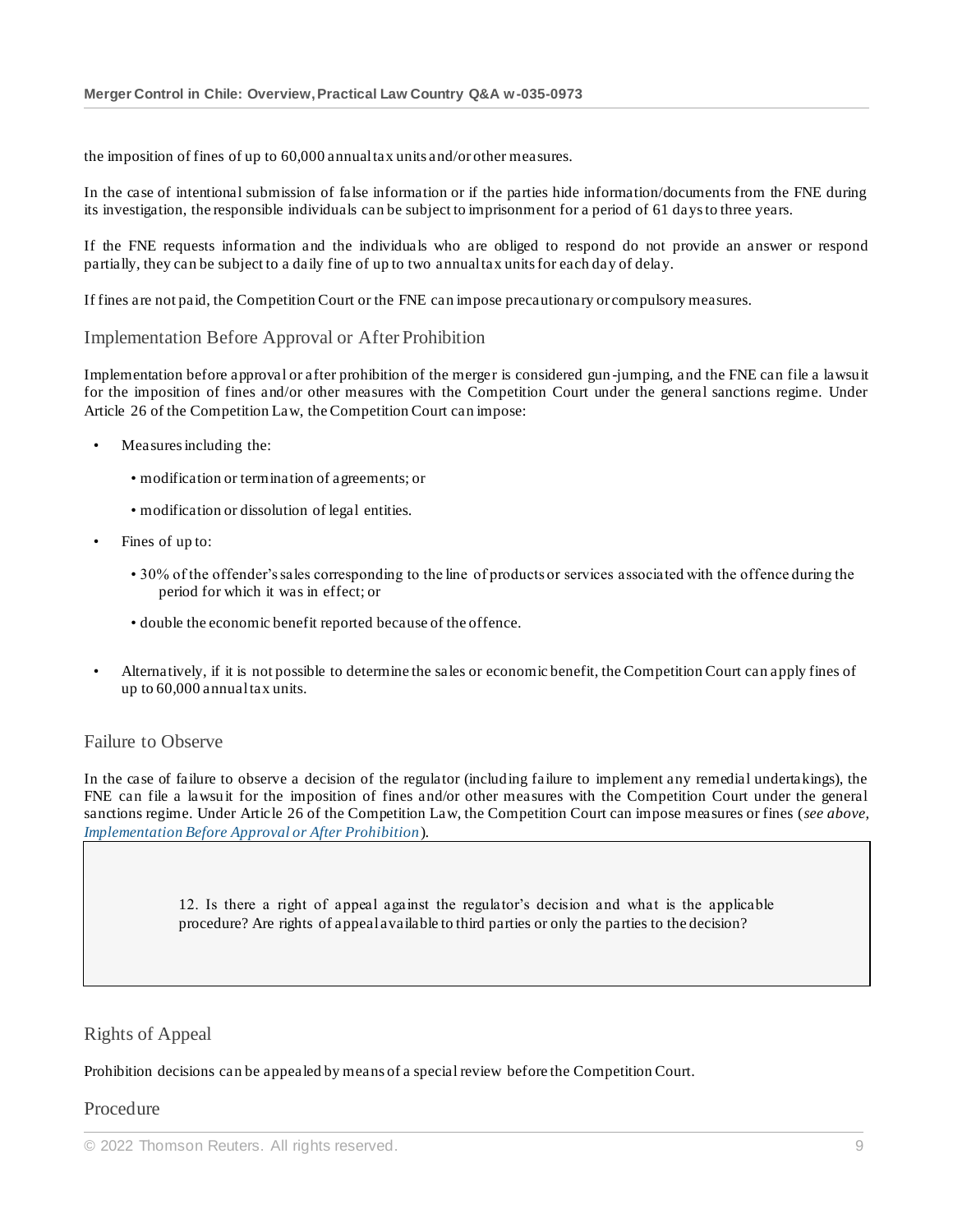the imposition of fines of up to 60,000 annual tax units and/or other measures.

In the case of intentional submission of false information or if the parties hide information/documents from the FNE during its investigation, the responsible individuals can be subject to imprisonment for a period of 61 days to three years.

If the FNE requests information and the individuals who are obliged to respond do not provide an answer or respond partially, they can be subject to a daily fine of up to two annual tax units for each day of delay.

If fines are not paid, the Competition Court or the FNE can impose precautionary or compulsory measures.

#### Implementation Before Approval or After Prohibition

Implementation before approval or after prohibition of the merger is considered gun -jumping, and the FNE can file a lawsuit for the imposition of fines and/or other measures with the Competition Court under the general sanctions regime. Under Article 26 of the Competition Law, the Competition Court can impose:

- Measures including the:
	- modification or termination of agreements; or
	- modification or dissolution of legal entities.
- Fines of up to:
	- 30% of the offender's sales corresponding to the line of products or services associated with the offence during the period for which it was in effect; or
	- double the economic benefit reported because of the offence.
- Alternatively, if it is not possible to determine the sales or economic benefit, the Competition Court can apply fines of up to 60,000 annual tax units.

#### Failure to Observe

In the case of failure to observe a decision of the regulator (including failure to implement any remedial undertakings), the FNE can file a lawsuit for the imposition of fines and/or other measures with the Competition Court under the general sanctions regime. Under Article 26 of the Competition Law, the Competition Court can impose measures or fines (*see above, Implementation Before Approval or After Prohibition*).

> 12. Is there a right of appeal against the regulator's decision and what is the applicable procedure? Are rights of appeal available to third parties or only the parties to the decision?

#### Rights of Appeal

#### Prohibition decisions can be appealed by means of a special review before the Competition Court.

#### Procedure

<sup>©</sup> 2022 Thomson Reuters. All rights reserved. 9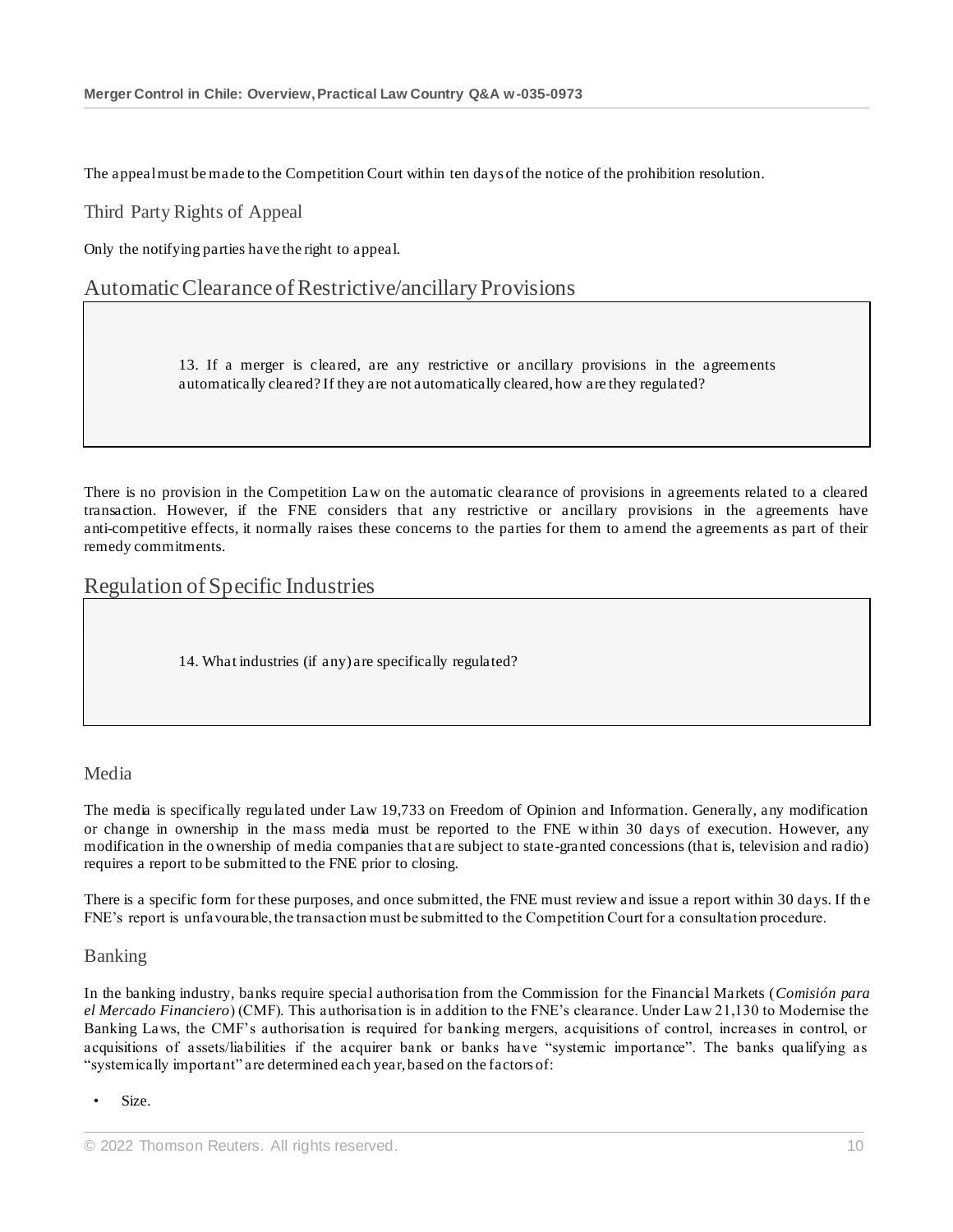The appeal must be made to the Competition Court within ten days of the notice of the prohibition resolution.

Third Party Rights of Appeal

Only the notifying parties have the right to appeal.

## Automatic Clearance of Restrictive/ancillary Provisions

13. If a merger is cleared, are any restrictive or ancillary provisions in the agreements automatically cleared? If they are not automatically cleared, how are they regulated?

There is no provision in the Competition Law on the automatic clearance of provisions in agreements related to a cleared transaction. However, if the FNE considers that any restrictive or ancillary provisions in the agreements have anti-competitive effects, it normally raises these concerns to the parties for them to amend the agreements as part of their remedy commitments.

### Regulation of Specific Industries

14. What industries (if any) are specifically regulated?

#### Media

The media is specifically regulated under Law 19,733 on Freedom of Opinion and Information. Generally, any modification or change in ownership in the mass media must be reported to the FNE within 30 days of execution. However, any modification in the ownership of media companies that are subject to state-granted concessions (that is, television and radio) requires a report to be submitted to the FNE prior to closing.

There is a specific form for these purposes, and once submitted, the FNE must review and issue a report within 30 days. If th e FNE's report is unfavourable, the transaction must be submitted to the Competition Court for a consultation procedure.

#### Banking

In the banking industry, banks require special authorisation from the Commission for the Financial Markets (*Comisión para el Mercado Financiero*) (CMF). This authorisation is in addition to the FNE's clearance. Under Law 21,130 to Modernise the Banking Laws, the CMF's authorisation is required for banking mergers, acquisitions of control, increases in control, or acquisitions of assets/liabilities if the acquirer bank or banks have "systemic importance". The banks qualifying as "systemically important" are determined each year, based on the factors of:

Size.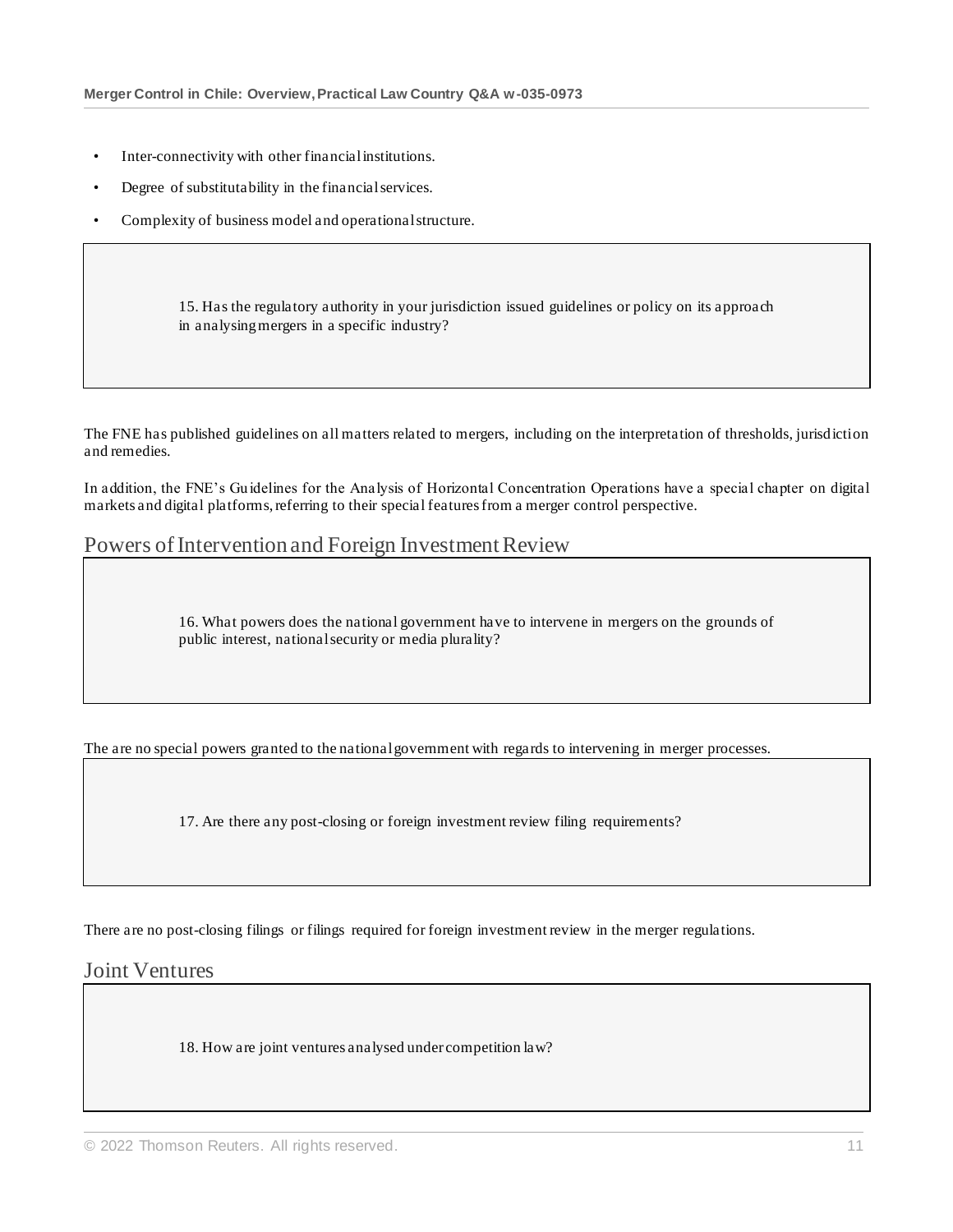- Inter-connectivity with other financial institutions.
- Degree of substitutability in the financial services.
- Complexity of business model and operational structure.

15. Has the regulatory authority in your jurisdiction issued guidelines or policy on its approach in analysing mergers in a specific industry?

The FNE has published guidelines on all matters related to mergers, including on the interpretation of thresholds, jurisdiction and remedies.

In addition, the FNE's Guidelines for the Analysis of Horizontal Concentration Operations have a special chapter on digital markets and digital platforms, referring to their special features from a merger control perspective.

# Powers of Intervention and Foreign Investment Review

16. What powers does the national government have to intervene in mergers on the grounds of public interest, national security or media plurality?

The are no special powers granted to the national government with regards to intervening in merger processes.

17. Are there any post-closing or foreign investment review filing requirements?

There are no post-closing filings or filings required for foreign investment review in the merger regulations.

# Joint Ventures

18. How are joint ventures analysed under competition law?

<sup>©</sup> 2022 Thomson Reuters. All rights reserved. 11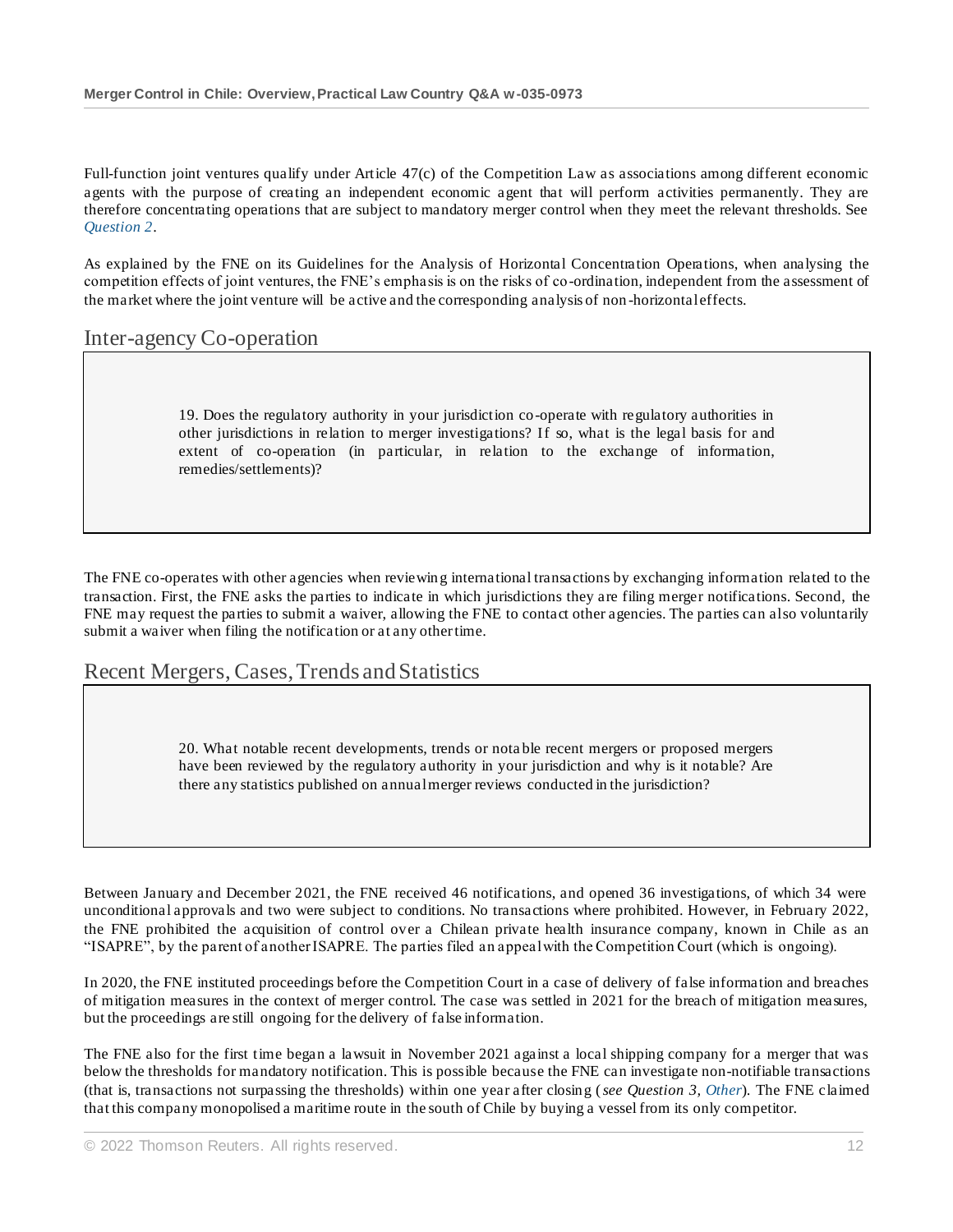Full-function joint ventures qualify under Article 47(c) of the Competition Law as associations among different economic agents with the purpose of creating an independent economic agent that will perform activities permanently. They are therefore concentrating operations that are subject to mandatory merger control when they meet the relevant thresholds. See *Question 2*.

As explained by the FNE on its Guidelines for the Analysis of Horizontal Concentration Operations, when analysing the competition effects of joint ventures, the FNE's emphasis is on the risks of co-ordination, independent from the assessment of the market where the joint venture will be active and the corresponding analysis of non -horizontal effects.

# Inter-agency Co-operation

19. Does the regulatory authority in your jurisdiction co-operate with regulatory authorities in other jurisdictions in relation to merger investigations? If so, what is the legal basis for and extent of co-operation (in particular, in relation to the exchange of information, remedies/settlements)?

The FNE co-operates with other agencies when reviewing international transactions by exchanging information related to the transaction. First, the FNE asks the parties to indicate in which jurisdictions they are filing merger notifications. Second, the FNE may request the parties to submit a waiver, allowing the FNE to contact other agencies. The parties can also voluntarily submit a waiver when filing the notification or at any other time.

# Recent Mergers, Cases, Trends and Statistics

20. What notable recent developments, trends or nota ble recent mergers or proposed mergers have been reviewed by the regulatory authority in your jurisdiction and why is it notable? Are there any statistics published on annual merger reviews conducted in the jurisdiction?

Between January and December 2021, the FNE received 46 notifications, and opened 36 investigations, of which 34 were unconditional approvals and two were subject to conditions. No transactions where prohibited. However, in February 2022, the FNE prohibited the acquisition of control over a Chilean private health insurance company, known in Chile as an "ISAPRE", by the parent of another ISAPRE. The parties filed an appeal with the Competition Court (which is ongoing).

In 2020, the FNE instituted proceedings before the Competition Court in a case of delivery of false information and breaches of mitigation measures in the context of merger control. The case was settled in 2021 for the breach of mitigation measures, but the proceedings are still ongoing for the delivery of false information.

The FNE also for the first time began a lawsuit in November 2021 against a local shipping company for a merger that was below the thresholds for mandatory notification. This is possible because the FNE can investigate non-notifiable transactions (that is, transactions not surpassing the thresholds) within one year after closing (*see Question 3, Other*). The FNE claimed that this company monopolised a maritime route in the south of Chile by buying a vessel from its only competitor.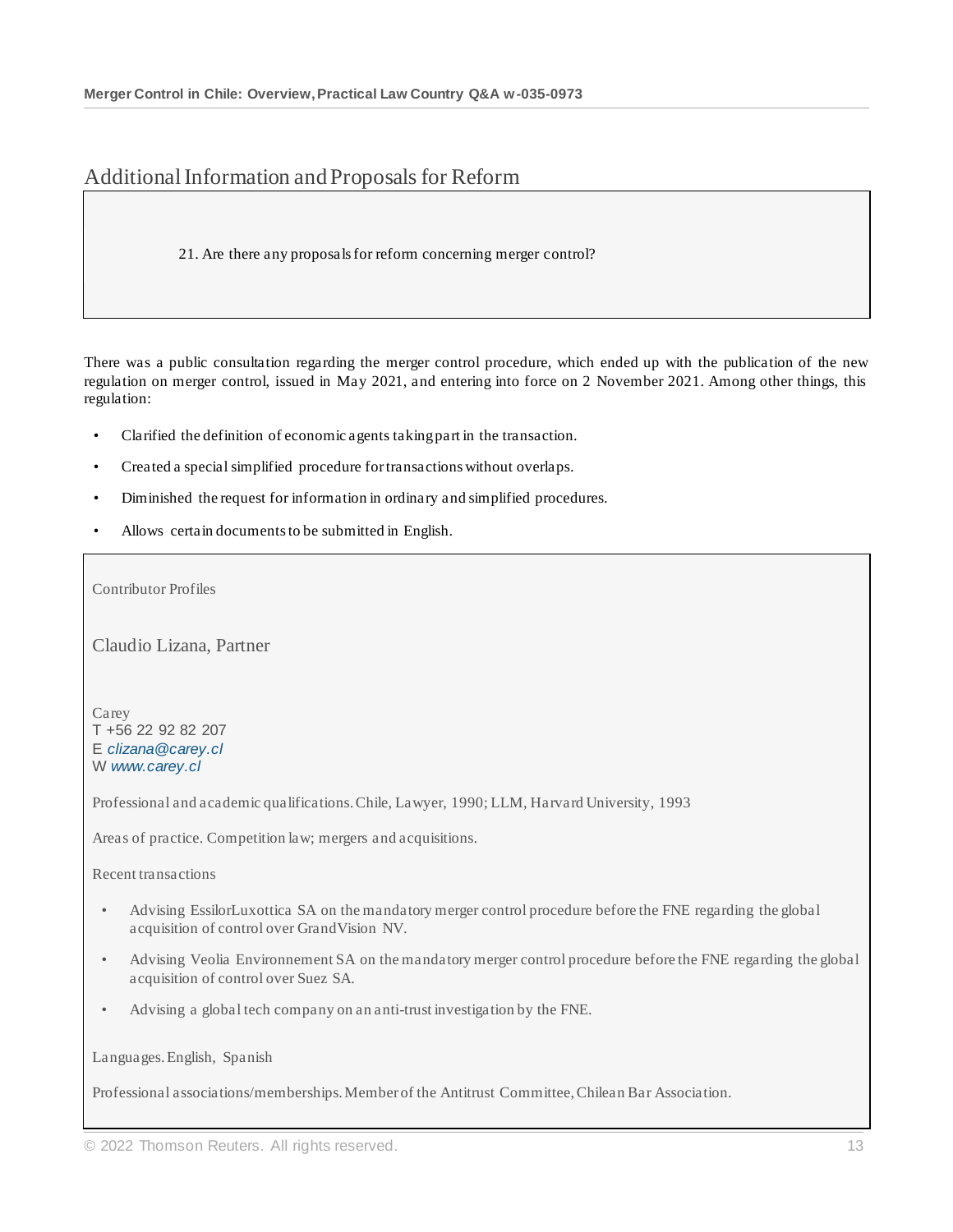# Additional Information and Proposals for Reform

21. Are there any proposals for reform concerning merger control?

There was a public consultation regarding the merger control procedure, which ended up with the publication of the new regulation on merger control, issued in May 2021, and entering into force on 2 November 2021. Among other things, this regulation:

- Clarified the definition of economic agents taking part in the transaction.
- Created a special simplified procedure for transactions without overlaps.
- Diminished the request for information in ordinary and simplified procedures.
- Allows certain documents to be submitted in English.

Contributor Profiles

Claudio Lizana, Partner

Carey T +56 22 92 82 207 E *[clizana@carey.cl](mailto:clizana@carey.cl)* W *[www.carey.cl](http://www.carey.cl/)*

Professional and academic qualifications. Chile, Lawyer, 1990; LLM, Harvard University, 1993

Areas of practice. Competition law; mergers and acquisitions.

Recent transactions

- Advising EssilorLuxottica SA on the mandatory merger control procedure before the FNE regarding the global acquisition of control over GrandVision NV.
- Advising Veolia Environnement SA on the mandatory merger control procedure before the FNE regarding the global acquisition of control over Suez SA.
- Advising a global tech company on an anti-trust investigation by the FNE.

Languages. English, Spanish

Professional associations/memberships. Member of the Antitrust Committee, Chilean Bar Association.